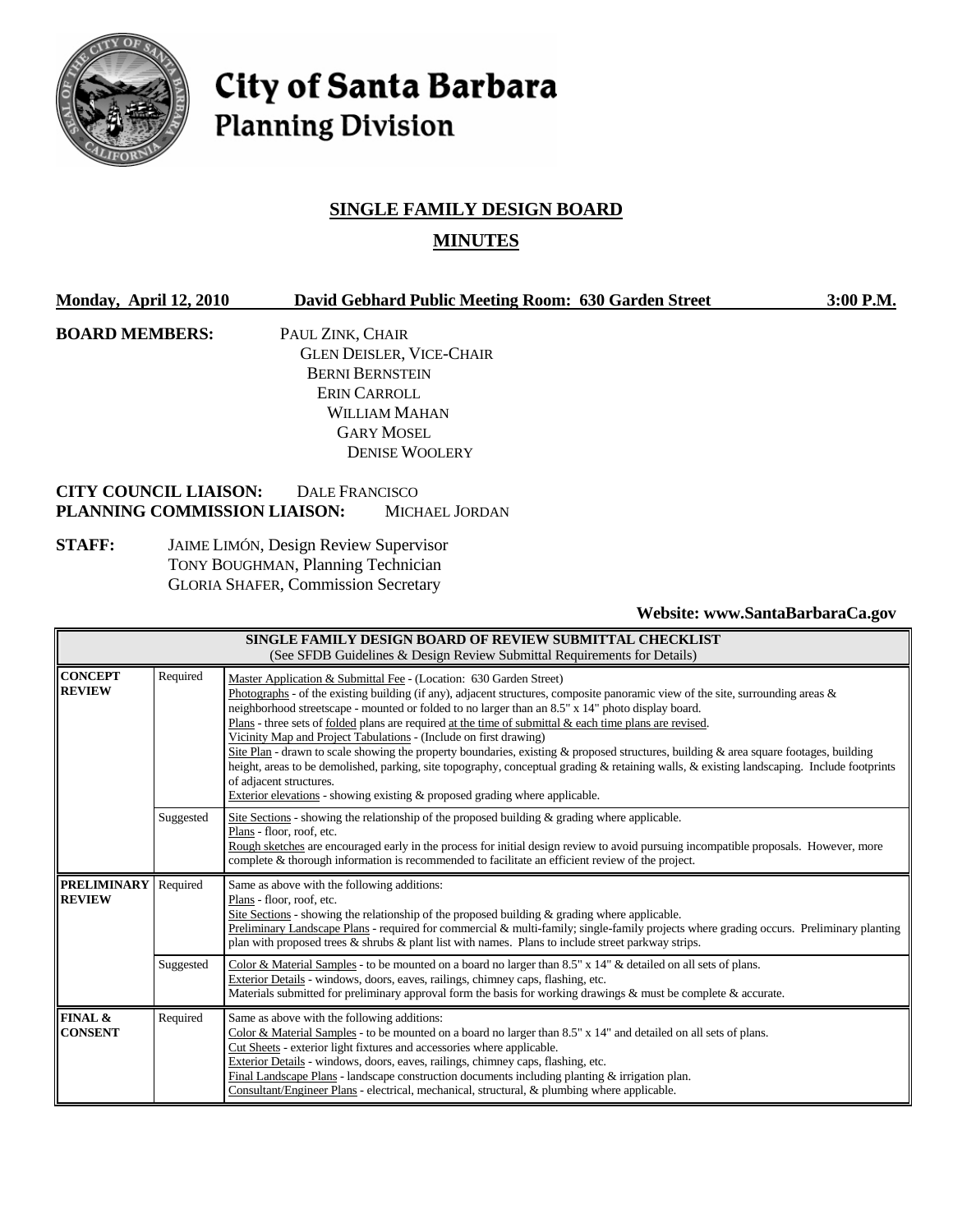

# City of Santa Barbara **Planning Division**

# **SINGLE FAMILY DESIGN BOARD MINUTES**

| <b>Monday, April 12, 2010</b> |                                                                                                                                  | David Gebhard Public Meeting Room: 630 Garden Street | 3:00 P.M. |
|-------------------------------|----------------------------------------------------------------------------------------------------------------------------------|------------------------------------------------------|-----------|
| <b>BOARD MEMBERS:</b>         | PAUL ZINK, CHAIR                                                                                                                 |                                                      |           |
|                               |                                                                                                                                  | <b>GLEN DEISLER, VICE-CHAIR</b>                      |           |
|                               |                                                                                                                                  | <b>BERNI BERNSTEIN</b>                               |           |
|                               |                                                                                                                                  | ERIN CARROLL                                         |           |
|                               |                                                                                                                                  | WILLIAM MAHAN                                        |           |
|                               |                                                                                                                                  | <b>GARY MOSEL</b>                                    |           |
|                               |                                                                                                                                  | <b>DENISE WOOLERY</b>                                |           |
|                               | <b>CITY COUNCIL LIAISON:</b>                                                                                                     | DALE FRANCISCO                                       |           |
|                               | PLANNING COMMISSION LIAISON:                                                                                                     | <b>MICHAEL JORDAN</b>                                |           |
| <b>STAFF:</b>                 | <b>JAIME LIMÓN, Design Review Supervisor</b><br>TONY BOUGHMAN, Planning Technician<br><b>GLORIA SHAFER, Commission Secretary</b> |                                                      |           |

**Website: www.SantaBarbaraCa.gov** 

| SINGLE FAMILY DESIGN BOARD OF REVIEW SUBMITTAL CHECKLIST<br>(See SFDB Guidelines & Design Review Submittal Requirements for Details) |           |                                                                                                                                                                                                                                                                                                                                                                                                                                                                                                                                                                                                                                                                                                                                                                                                                                                                                                |  |
|--------------------------------------------------------------------------------------------------------------------------------------|-----------|------------------------------------------------------------------------------------------------------------------------------------------------------------------------------------------------------------------------------------------------------------------------------------------------------------------------------------------------------------------------------------------------------------------------------------------------------------------------------------------------------------------------------------------------------------------------------------------------------------------------------------------------------------------------------------------------------------------------------------------------------------------------------------------------------------------------------------------------------------------------------------------------|--|
| <b>CONCEPT</b><br><b>REVIEW</b>                                                                                                      | Required  | Master Application & Submittal Fee - (Location: 630 Garden Street)<br>Photographs - of the existing building (if any), adjacent structures, composite panoramic view of the site, surrounding areas &<br>neighborhood streetscape - mounted or folded to no larger than an 8.5" x 14" photo display board.<br>Plans - three sets of folded plans are required at the time of submittal & each time plans are revised.<br>Vicinity Map and Project Tabulations - (Include on first drawing)<br>Site Plan - drawn to scale showing the property boundaries, existing & proposed structures, building & area square footages, building<br>height, areas to be demolished, parking, site topography, conceptual grading & retaining walls, & existing landscaping. Include footprints<br>of adjacent structures.<br>Exterior elevations - showing existing $\&$ proposed grading where applicable. |  |
|                                                                                                                                      | Suggested | Site Sections - showing the relationship of the proposed building $\&$ grading where applicable.<br>Plans - floor, roof, etc.<br>Rough sketches are encouraged early in the process for initial design review to avoid pursuing incompatible proposals. However, more<br>complete & thorough information is recommended to facilitate an efficient review of the project.                                                                                                                                                                                                                                                                                                                                                                                                                                                                                                                      |  |
| <b>PRELIMINARY</b><br><b>REVIEW</b>                                                                                                  | Required  | Same as above with the following additions:<br>Plans - floor, roof, etc.<br>Site Sections - showing the relationship of the proposed building $\&$ grading where applicable.<br>Preliminary Landscape Plans - required for commercial & multi-family; single-family projects where grading occurs. Preliminary planting<br>plan with proposed trees $\&$ shrubs $\&$ plant list with names. Plans to include street parkway strips.                                                                                                                                                                                                                                                                                                                                                                                                                                                            |  |
|                                                                                                                                      | Suggested | Color & Material Samples - to be mounted on a board no larger than 8.5" x 14" & detailed on all sets of plans.<br>Exterior Details - windows, doors, eaves, railings, chimney caps, flashing, etc.<br>Materials submitted for preliminary approval form the basis for working drawings & must be complete & accurate.                                                                                                                                                                                                                                                                                                                                                                                                                                                                                                                                                                          |  |
| FINAL &<br><b>CONSENT</b>                                                                                                            | Required  | Same as above with the following additions:<br>Color & Material Samples - to be mounted on a board no larger than 8.5" x 14" and detailed on all sets of plans.<br>Cut Sheets - exterior light fixtures and accessories where applicable.<br>Exterior Details - windows, doors, eaves, railings, chimney caps, flashing, etc.<br>Final Landscape Plans - landscape construction documents including planting $\&$ irrigation plan.<br>Consultant/Engineer Plans - electrical, mechanical, structural, & plumbing where applicable.                                                                                                                                                                                                                                                                                                                                                             |  |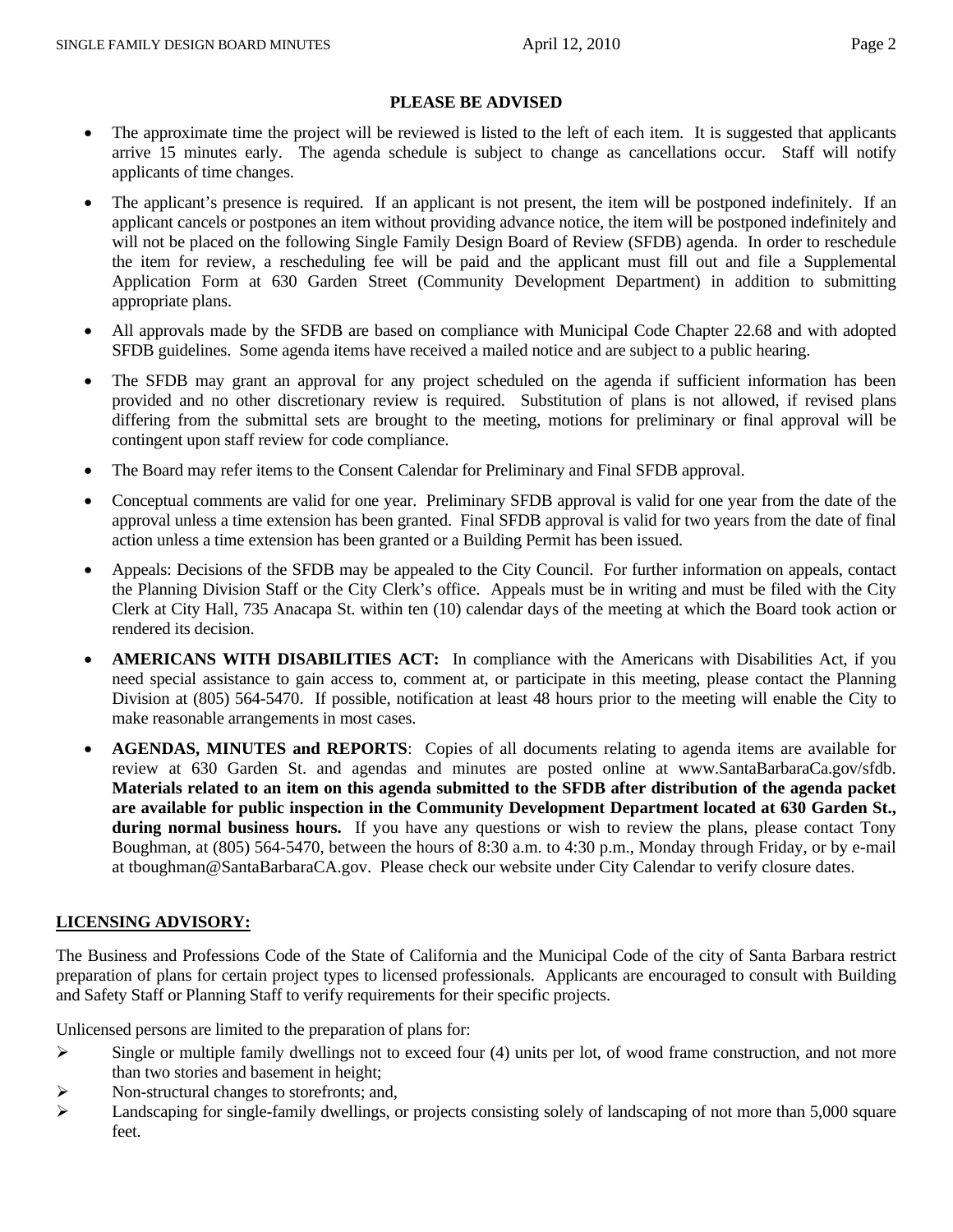#### **PLEASE BE ADVISED**

- The approximate time the project will be reviewed is listed to the left of each item. It is suggested that applicants arrive 15 minutes early. The agenda schedule is subject to change as cancellations occur. Staff will notify applicants of time changes.
- The applicant's presence is required. If an applicant is not present, the item will be postponed indefinitely. If an applicant cancels or postpones an item without providing advance notice, the item will be postponed indefinitely and will not be placed on the following Single Family Design Board of Review (SFDB) agenda. In order to reschedule the item for review, a rescheduling fee will be paid and the applicant must fill out and file a Supplemental Application Form at 630 Garden Street (Community Development Department) in addition to submitting appropriate plans.
- All approvals made by the SFDB are based on compliance with Municipal Code Chapter 22.68 and with adopted SFDB guidelines. Some agenda items have received a mailed notice and are subject to a public hearing.
- The SFDB may grant an approval for any project scheduled on the agenda if sufficient information has been provided and no other discretionary review is required. Substitution of plans is not allowed, if revised plans differing from the submittal sets are brought to the meeting, motions for preliminary or final approval will be contingent upon staff review for code compliance.
- The Board may refer items to the Consent Calendar for Preliminary and Final SFDB approval.
- Conceptual comments are valid for one year. Preliminary SFDB approval is valid for one year from the date of the approval unless a time extension has been granted. Final SFDB approval is valid for two years from the date of final action unless a time extension has been granted or a Building Permit has been issued.
- Appeals: Decisions of the SFDB may be appealed to the City Council. For further information on appeals, contact the Planning Division Staff or the City Clerk's office. Appeals must be in writing and must be filed with the City Clerk at City Hall, 735 Anacapa St. within ten (10) calendar days of the meeting at which the Board took action or rendered its decision.
- **AMERICANS WITH DISABILITIES ACT:** In compliance with the Americans with Disabilities Act, if you need special assistance to gain access to, comment at, or participate in this meeting, please contact the Planning Division at (805) 564-5470. If possible, notification at least 48 hours prior to the meeting will enable the City to make reasonable arrangements in most cases.
- **AGENDAS, MINUTES and REPORTS**: Copies of all documents relating to agenda items are available for review at 630 Garden St. and agendas and minutes are posted online at www.SantaBarbaraCa.gov/sfdb. **Materials related to an item on this agenda submitted to the SFDB after distribution of the agenda packet are available for public inspection in the Community Development Department located at 630 Garden St., during normal business hours.** If you have any questions or wish to review the plans, please contact Tony Boughman, at (805) 564-5470, between the hours of 8:30 a.m. to 4:30 p.m., Monday through Friday, or by e-mail at tboughman@SantaBarbaraCA.gov. Please check our website under City Calendar to verify closure dates.

#### **LICENSING ADVISORY:**

The Business and Professions Code of the State of California and the Municipal Code of the city of Santa Barbara restrict preparation of plans for certain project types to licensed professionals. Applicants are encouraged to consult with Building and Safety Staff or Planning Staff to verify requirements for their specific projects.

Unlicensed persons are limited to the preparation of plans for:

- $\triangleright$  Single or multiple family dwellings not to exceed four (4) units per lot, of wood frame construction, and not more than two stories and basement in height;
- $\triangleright$  Non-structural changes to storefronts; and,
- Eandscaping for single-family dwellings, or projects consisting solely of landscaping of not more than 5,000 square feet.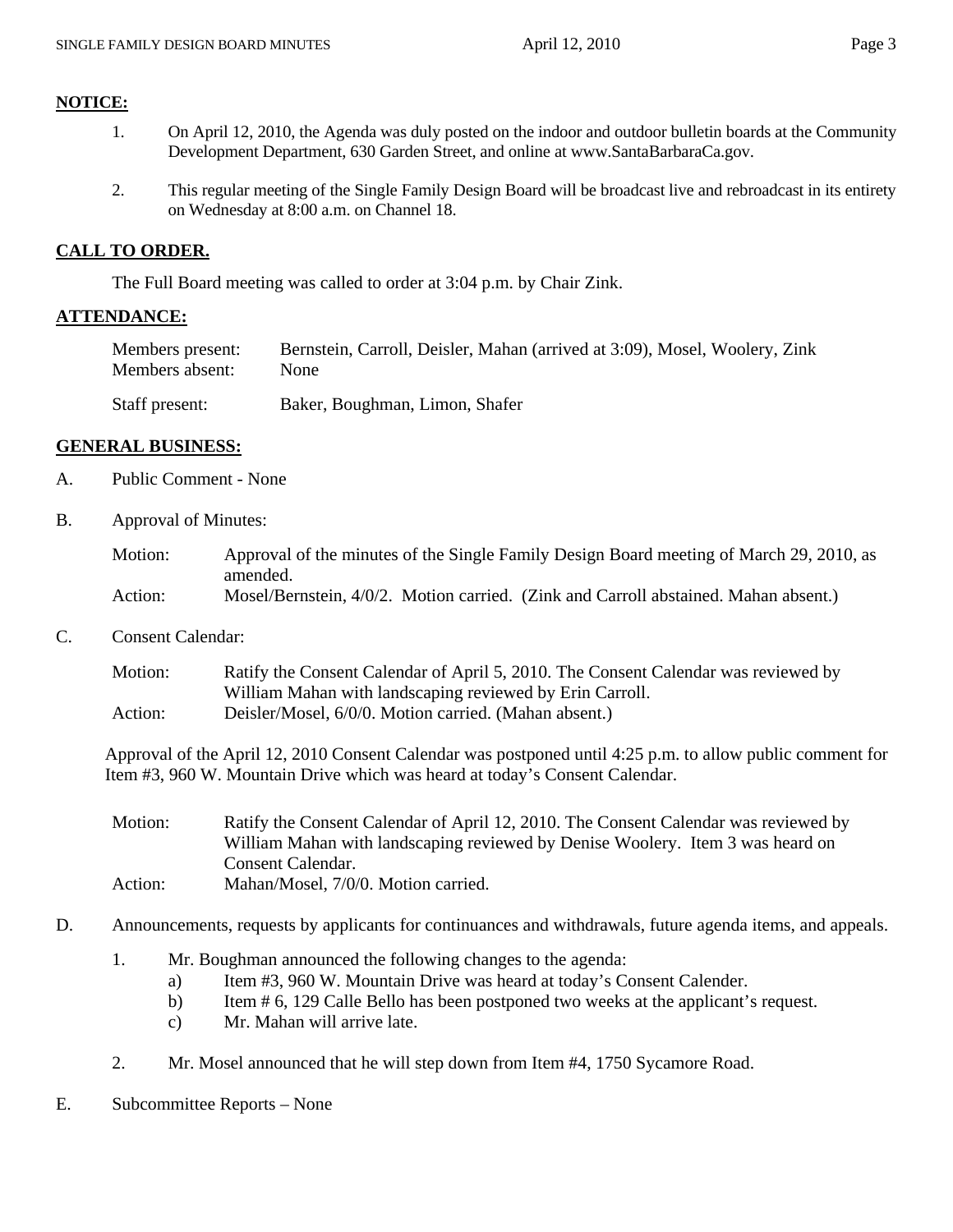#### **NOTICE:**

- 1. On April 12, 2010, the Agenda was duly posted on the indoor and outdoor bulletin boards at the Community Development Department, 630 Garden Street, and online at www.SantaBarbaraCa.gov.
- 2. This regular meeting of the Single Family Design Board will be broadcast live and rebroadcast in its entirety on Wednesday at 8:00 a.m. on Channel 18.

#### **CALL TO ORDER.**

The Full Board meeting was called to order at 3:04 p.m. by Chair Zink.

#### **ATTENDANCE:**

| Members present: | Bernstein, Carroll, Deisler, Mahan (arrived at 3:09), Mosel, Woolery, Zink |
|------------------|----------------------------------------------------------------------------|
| Members absent:  | None                                                                       |
| Staff present:   | Baker, Boughman, Limon, Shafer                                             |

#### **GENERAL BUSINESS:**

- A. Public Comment None
- B. Approval of Minutes:

| Motion: | Approval of the minutes of the Single Family Design Board meeting of March 29, 2010, as |
|---------|-----------------------------------------------------------------------------------------|
|         | amended.                                                                                |
| Action: | Mosel/Bernstein, 4/0/2. Motion carried. (Zink and Carroll abstained. Mahan absent.)     |

C. Consent Calendar:

Motion: Ratify the Consent Calendar of April 5, 2010. The Consent Calendar was reviewed by William Mahan with landscaping reviewed by Erin Carroll. Action: Deisler/Mosel, 6/0/0. Motion carried. (Mahan absent.)

Approval of the April 12, 2010 Consent Calendar was postponed until 4:25 p.m. to allow public comment for Item #3, 960 W. Mountain Drive which was heard at today's Consent Calendar.

Motion: Ratify the Consent Calendar of April 12, 2010. The Consent Calendar was reviewed by William Mahan with landscaping reviewed by Denise Woolery. Item 3 was heard on Consent Calendar. Action: Mahan/Mosel, 7/0/0. Motion carried.

- D. Announcements, requests by applicants for continuances and withdrawals, future agenda items, and appeals.
	- 1. Mr. Boughman announced the following changes to the agenda:
		- a) Item #3, 960 W. Mountain Drive was heard at today's Consent Calender.
		- b) Item # 6, 129 Calle Bello has been postponed two weeks at the applicant's request.
		- c) Mr. Mahan will arrive late.
	- 2. Mr. Mosel announced that he will step down from Item #4, 1750 Sycamore Road.
- E. Subcommittee Reports None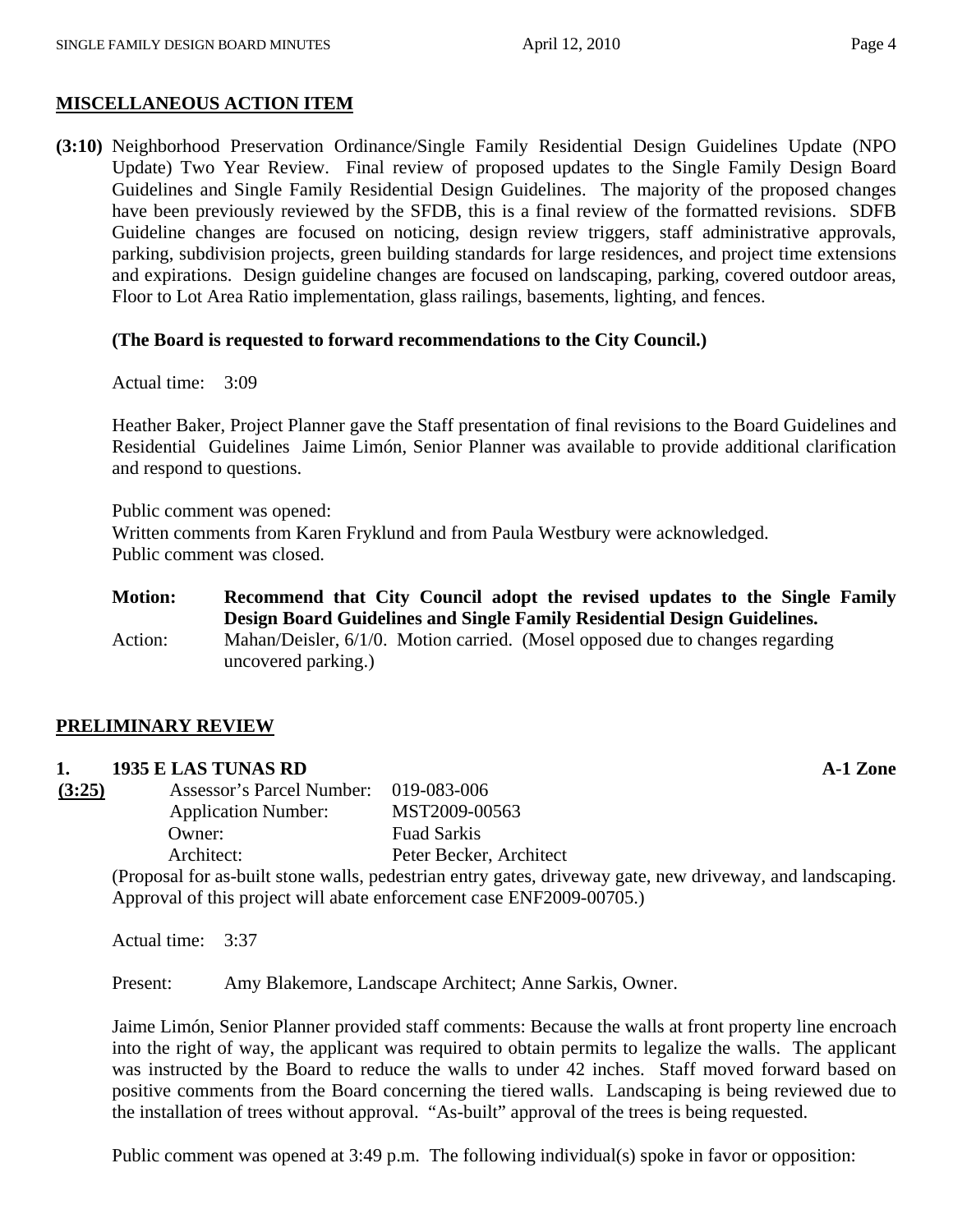#### **MISCELLANEOUS ACTION ITEM**

**(3:10)** Neighborhood Preservation Ordinance/Single Family Residential Design Guidelines Update (NPO Update) Two Year Review.Final review of proposed updates to the Single Family Design Board Guidelines and Single Family Residential Design Guidelines. The majority of the proposed changes have been previously reviewed by the SFDB, this is a final review of the formatted revisions. SDFB Guideline changes are focused on noticing, design review triggers, staff administrative approvals, parking, subdivision projects, green building standards for large residences, and project time extensions and expirations. Design guideline changes are focused on landscaping, parking, covered outdoor areas, Floor to Lot Area Ratio implementation, glass railings, basements, lighting, and fences.

#### **(The Board is requested to forward recommendations to the City Council.)**

Actual time: 3:09

Heather Baker, Project Planner gave the Staff presentation of final revisions to the Board Guidelines and Residential Guidelines Jaime Limón, Senior Planner was available to provide additional clarification and respond to questions.

Public comment was opened: Written comments from Karen Fryklund and from Paula Westbury were acknowledged. Public comment was closed.

| <b>Motion:</b> | Recommend that City Council adopt the revised updates to the Single Family<br>Design Board Guidelines and Single Family Residential Design Guidelines. |
|----------------|--------------------------------------------------------------------------------------------------------------------------------------------------------|
| Action:        | Mahan/Deisler, 6/1/0. Motion carried. (Mosel opposed due to changes regarding<br>uncovered parking.)                                                   |

#### **PRELIMINARY REVIEW**

#### **1. 1935 E LAS TUNAS RD A-1 Zone**

**(3:25)** Assessor's Parcel Number: 019-083-006 Application Number: MST2009-00563 Owner: Fuad Sarkis Architect: Peter Becker, Architect

(Proposal for as-built stone walls, pedestrian entry gates, driveway gate, new driveway, and landscaping. Approval of this project will abate enforcement case ENF2009-00705.)

Actual time: 3:37

Present: Amy Blakemore, Landscape Architect; Anne Sarkis, Owner.

Jaime Limón, Senior Planner provided staff comments: Because the walls at front property line encroach into the right of way, the applicant was required to obtain permits to legalize the walls. The applicant was instructed by the Board to reduce the walls to under 42 inches. Staff moved forward based on positive comments from the Board concerning the tiered walls. Landscaping is being reviewed due to the installation of trees without approval. "As-built" approval of the trees is being requested.

Public comment was opened at 3:49 p.m. The following individual(s) spoke in favor or opposition: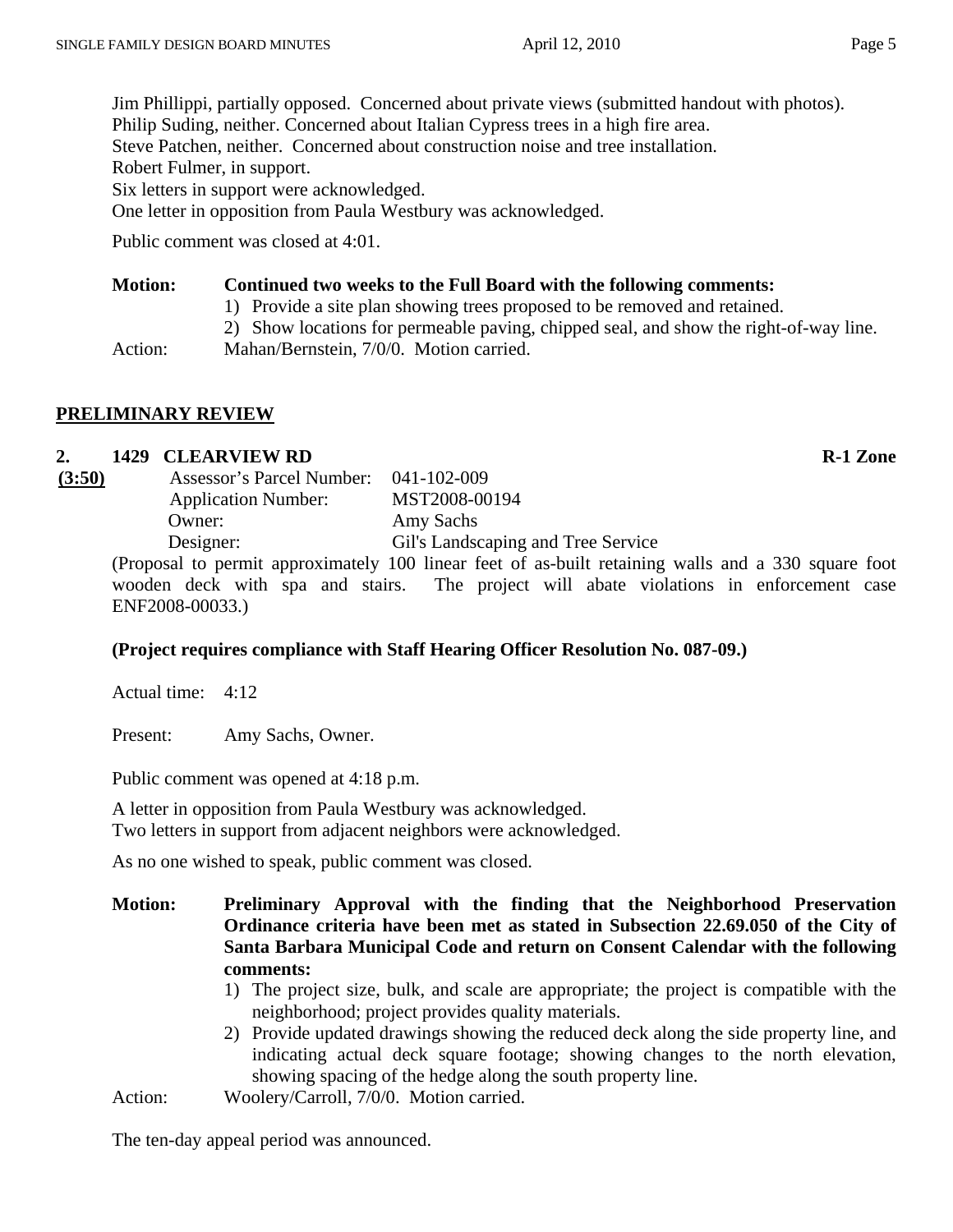Jim Phillippi, partially opposed. Concerned about private views (submitted handout with photos). Philip Suding, neither. Concerned about Italian Cypress trees in a high fire area. Steve Patchen, neither. Concerned about construction noise and tree installation. Robert Fulmer, in support. Six letters in support were acknowledged.

One letter in opposition from Paula Westbury was acknowledged.

Public comment was closed at 4:01.

#### **Motion: Continued two weeks to the Full Board with the following comments:**

1) Provide a site plan showing trees proposed to be removed and retained.

2) Show locations for permeable paving, chipped seal, and show the right-of-way line.

Action: Mahan/Bernstein, 7/0/0. Motion carried.

#### **PRELIMINARY REVIEW**

#### **2. 1429 CLEARVIEW RD R-1 Zone**

| (3:50) | Assessor's Parcel Number:  | $041 - 102 - 009$                                                                                                                  |
|--------|----------------------------|------------------------------------------------------------------------------------------------------------------------------------|
|        | <b>Application Number:</b> | MST2008-00194                                                                                                                      |
|        | Owner:                     | Amy Sachs                                                                                                                          |
|        | Designer:                  | Gil's Landscaping and Tree Service                                                                                                 |
|        |                            | $(D_{\text{new}} + 1)$ is a small composition of $1$ and $D_0$ $1$ and $C_{\text{new}}$ of $C_{\text{new}}$ is $1$ and $1$ and $1$ |

(Proposal to permit approximately 100 linear feet of as-built retaining walls and a 330 square foot wooden deck with spa and stairs. The project will abate violations in enforcement case ENF2008-00033.)

#### **(Project requires compliance with Staff Hearing Officer Resolution No. 087-09.)**

Actual time: 4:12

Present: Amy Sachs, Owner.

Public comment was opened at 4:18 p.m.

A letter in opposition from Paula Westbury was acknowledged. Two letters in support from adjacent neighbors were acknowledged.

As no one wished to speak, public comment was closed.

- **Motion: Preliminary Approval with the finding that the Neighborhood Preservation Ordinance criteria have been met as stated in Subsection 22.69.050 of the City of Santa Barbara Municipal Code and return on Consent Calendar with the following comments:** 
	- 1) The project size, bulk, and scale are appropriate; the project is compatible with the neighborhood; project provides quality materials.
	- 2) Provide updated drawings showing the reduced deck along the side property line, and indicating actual deck square footage; showing changes to the north elevation, showing spacing of the hedge along the south property line.

Action: Woolery/Carroll, 7/0/0. Motion carried.

The ten-day appeal period was announced.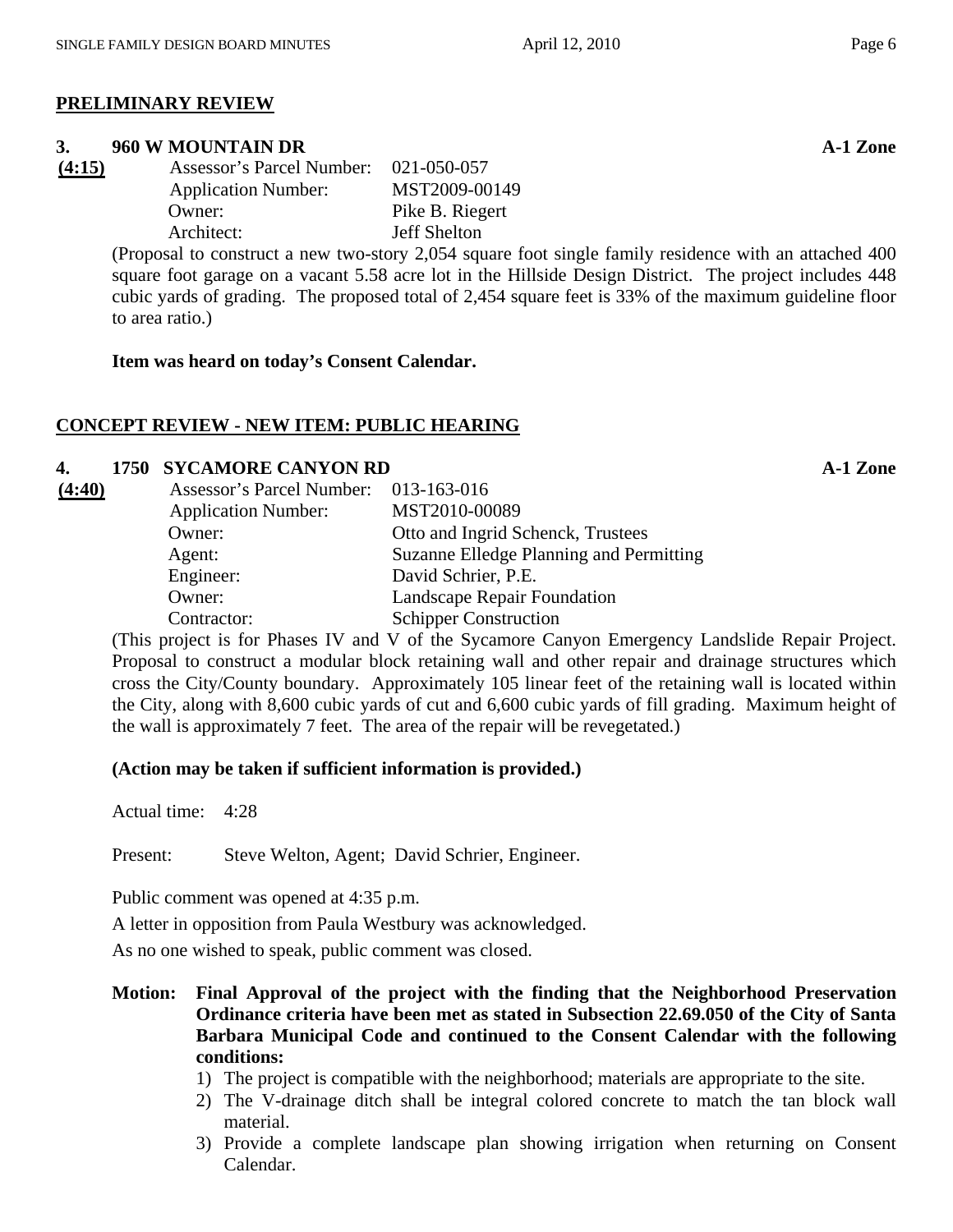#### **PRELIMINARY REVIEW**

#### **3. 960 W MOUNTAIN DR A-1 Zone**

| (4:15) | <b>Assessor's Parcel Number:</b> | 021-050-057         |
|--------|----------------------------------|---------------------|
|        | <b>Application Number:</b>       | MST2009-00149       |
|        | Owner:                           | Pike B. Riegert     |
|        | Architect:                       | <b>Jeff Shelton</b> |
|        |                                  |                     |

(Proposal to construct a new two-story 2,054 square foot single family residence with an attached 400 square foot garage on a vacant 5.58 acre lot in the Hillside Design District. The project includes 448 cubic yards of grading. The proposed total of 2,454 square feet is 33% of the maximum guideline floor to area ratio.)

**Item was heard on today's Consent Calendar.** 

#### **CONCEPT REVIEW - NEW ITEM: PUBLIC HEARING**

#### **4. 1750 SYCAMORE CANYON RD A-1 Zone**

| (4:40) | Assessor's Parcel Number: 013-163-016 |                                         |
|--------|---------------------------------------|-----------------------------------------|
|        | <b>Application Number:</b>            | MST2010-00089                           |
|        | Owner:                                | Otto and Ingrid Schenck, Trustees       |
|        | Agent:                                | Suzanne Elledge Planning and Permitting |
|        | Engineer:                             | David Schrier, P.E.                     |
|        | Owner:                                | Landscape Repair Foundation             |
|        | Contractor:                           | <b>Schipper Construction</b>            |

(This project is for Phases IV and V of the Sycamore Canyon Emergency Landslide Repair Project. Proposal to construct a modular block retaining wall and other repair and drainage structures which cross the City/County boundary. Approximately 105 linear feet of the retaining wall is located within the City, along with 8,600 cubic yards of cut and 6,600 cubic yards of fill grading. Maximum height of the wall is approximately 7 feet. The area of the repair will be revegetated.)

#### **(Action may be taken if sufficient information is provided.)**

Actual time: 4:28

Present: Steve Welton, Agent; David Schrier, Engineer.

Public comment was opened at 4:35 p.m.

A letter in opposition from Paula Westbury was acknowledged.

As no one wished to speak, public comment was closed.

- **Motion: Final Approval of the project with the finding that the Neighborhood Preservation Ordinance criteria have been met as stated in Subsection 22.69.050 of the City of Santa Barbara Municipal Code and continued to the Consent Calendar with the following conditions:** 
	- 1) The project is compatible with the neighborhood; materials are appropriate to the site.
	- 2) The V-drainage ditch shall be integral colored concrete to match the tan block wall material.
	- 3) Provide a complete landscape plan showing irrigation when returning on Consent Calendar.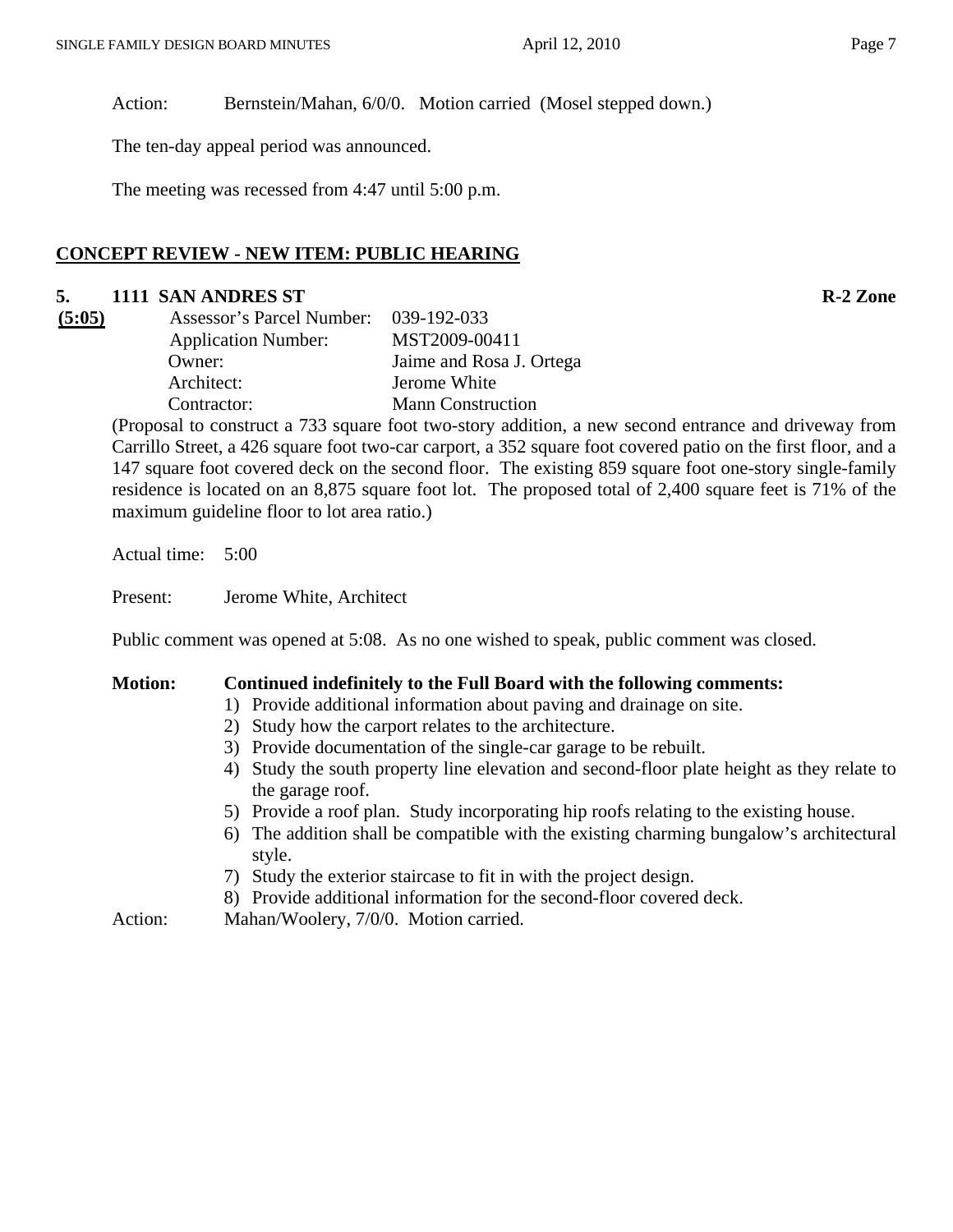Action: Bernstein/Mahan, 6/0/0. Motion carried (Mosel stepped down.)

The ten-day appeal period was announced.

The meeting was recessed from 4:47 until 5:00 p.m.

#### **CONCEPT REVIEW - NEW ITEM: PUBLIC HEARING**

# **5. 1111 SAN ANDRES ST R-2 Zone**

| (5:05) | Assessor's Parcel Number: 039-192-033 |                          |
|--------|---------------------------------------|--------------------------|
|        | <b>Application Number:</b>            | MST2009-00411            |
|        | Owner:                                | Jaime and Rosa J. Ortega |
|        | Architect:                            | Jerome White             |
|        | Contractor:                           | <b>Mann Construction</b> |
|        | $\blacksquare$                        |                          |

(Proposal to construct a 733 square foot two-story addition, a new second entrance and driveway from Carrillo Street, a 426 square foot two-car carport, a 352 square foot covered patio on the first floor, and a 147 square foot covered deck on the second floor. The existing 859 square foot one-story single-family residence is located on an 8,875 square foot lot. The proposed total of 2,400 square feet is 71% of the maximum guideline floor to lot area ratio.)

Actual time: 5:00

Present: Jerome White, Architect

Public comment was opened at 5:08. As no one wished to speak, public comment was closed.

#### **Motion: Continued indefinitely to the Full Board with the following comments:**

- 1) Provide additional information about paving and drainage on site.
- 2) Study how the carport relates to the architecture.
- 3) Provide documentation of the single-car garage to be rebuilt.
- 4) Study the south property line elevation and second-floor plate height as they relate to the garage roof.
- 5) Provide a roof plan. Study incorporating hip roofs relating to the existing house.
- 6) The addition shall be compatible with the existing charming bungalow's architectural style.
- 7) Study the exterior staircase to fit in with the project design.
- 8) Provide additional information for the second-floor covered deck.

Action: Mahan/Woolery, 7/0/0. Motion carried.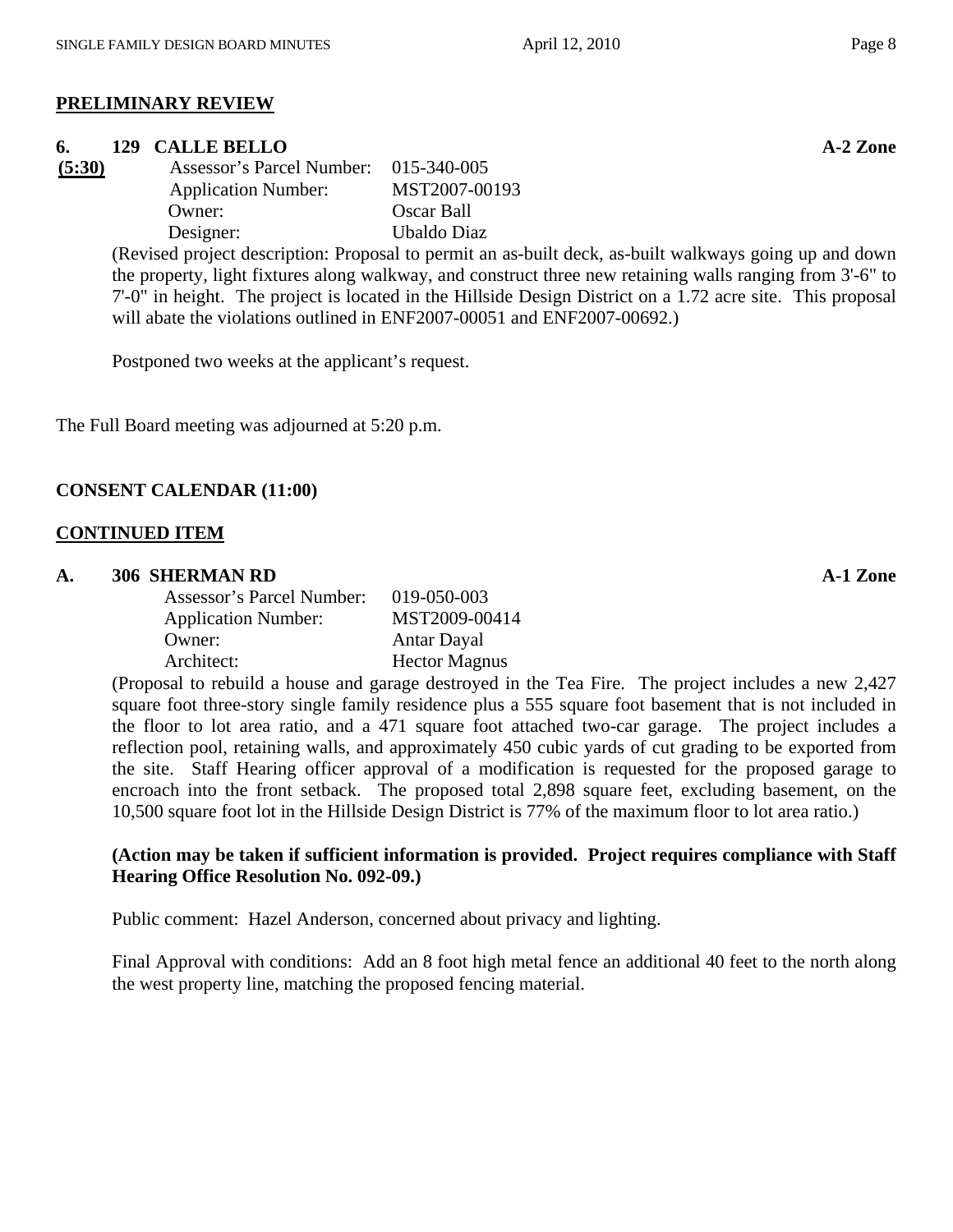# **PRELIMINARY REVIEW**

#### **6. 129** CALLE BELLO **A-2** Zone

| (5:30) | <b>Assessor's Parcel Number:</b> | 015-340-005   |
|--------|----------------------------------|---------------|
|        | <b>Application Number:</b>       | MST2007-00193 |
|        | Owner:                           | Oscar Ball    |
|        | Designer:                        | Ubaldo Diaz   |

(Revised project description: Proposal to permit an as-built deck, as-built walkways going up and down the property, light fixtures along walkway, and construct three new retaining walls ranging from 3'-6" to 7'-0" in height. The project is located in the Hillside Design District on a 1.72 acre site. This proposal will abate the violations outlined in ENF2007-00051 and ENF2007-00692.)

Postponed two weeks at the applicant's request.

The Full Board meeting was adjourned at 5:20 p.m.

#### **CONSENT CALENDAR (11:00)**

#### **CONTINUED ITEM**

#### A. 306 SHERMAN RD **A-1 Zone**

| 019-050-003          |
|----------------------|
| MST2009-00414        |
| Antar Dayal          |
| <b>Hector Magnus</b> |
|                      |

(Proposal to rebuild a house and garage destroyed in the Tea Fire. The project includes a new 2,427 square foot three-story single family residence plus a 555 square foot basement that is not included in the floor to lot area ratio, and a 471 square foot attached two-car garage. The project includes a reflection pool, retaining walls, and approximately 450 cubic yards of cut grading to be exported from the site. Staff Hearing officer approval of a modification is requested for the proposed garage to encroach into the front setback. The proposed total 2,898 square feet, excluding basement, on the 10,500 square foot lot in the Hillside Design District is 77% of the maximum floor to lot area ratio.)

#### **(Action may be taken if sufficient information is provided. Project requires compliance with Staff Hearing Office Resolution No. 092-09.)**

Public comment: Hazel Anderson, concerned about privacy and lighting.

Final Approval with conditions: Add an 8 foot high metal fence an additional 40 feet to the north along the west property line, matching the proposed fencing material.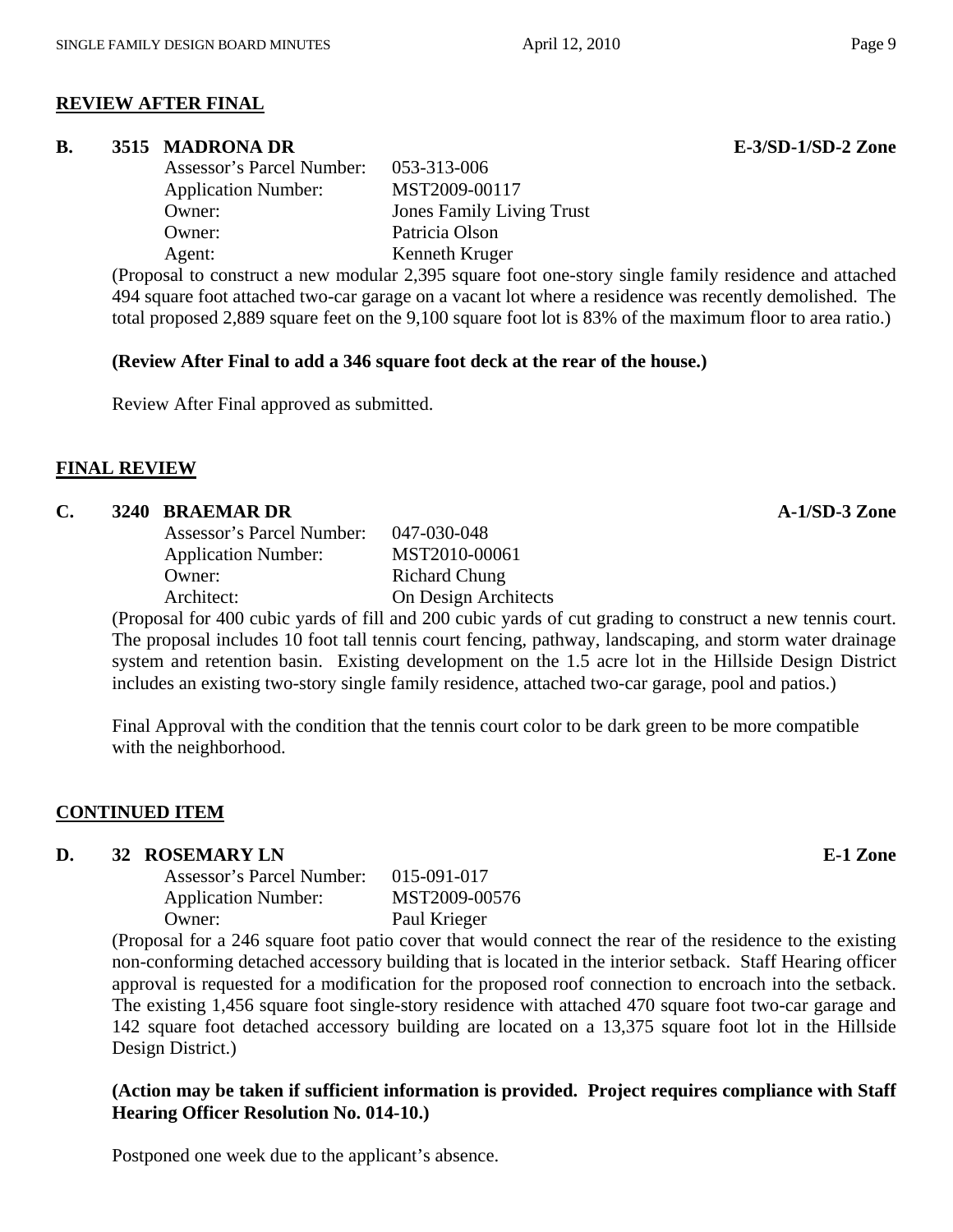# **REVIEW AFTER FINAL**

### **B. 3515 MADRONA DR E-3/SD-1/SD-2 Zone**

| Assessor's Parcel Number:  | 053-313-006                      |
|----------------------------|----------------------------------|
| <b>Application Number:</b> | MST2009-00117                    |
| Owner:                     | <b>Jones Family Living Trust</b> |
| Owner:                     | Patricia Olson                   |
| Agent:                     | Kenneth Kruger                   |

(Proposal to construct a new modular 2,395 square foot one-story single family residence and attached 494 square foot attached two-car garage on a vacant lot where a residence was recently demolished. The total proposed 2,889 square feet on the 9,100 square foot lot is 83% of the maximum floor to area ratio.)

# **(Review After Final to add a 346 square foot deck at the rear of the house.)**

Review After Final approved as submitted.

# **FINAL REVIEW**

### **C.** 3240 BRAEMAR DR **A-1/SD-3** Zone

| Assessor's Parcel Number:  | 047-030-048          |
|----------------------------|----------------------|
| <b>Application Number:</b> | MST2010-00061        |
| Owner:                     | <b>Richard Chung</b> |
| Architect:                 | On Design Architects |
|                            |                      |

(Proposal for 400 cubic yards of fill and 200 cubic yards of cut grading to construct a new tennis court. The proposal includes 10 foot tall tennis court fencing, pathway, landscaping, and storm water drainage system and retention basin. Existing development on the 1.5 acre lot in the Hillside Design District includes an existing two-story single family residence, attached two-car garage, pool and patios.)

Final Approval with the condition that the tennis court color to be dark green to be more compatible with the neighborhood.

# **CONTINUED ITEM**

#### **D.** 32 ROSEMARY LN **E-1 Zone**

| Assessor's Parcel Number:  | $015 - 091 - 017$ |
|----------------------------|-------------------|
| <b>Application Number:</b> | MST2009-00576     |
| Owner:                     | Paul Krieger      |

(Proposal for a 246 square foot patio cover that would connect the rear of the residence to the existing non-conforming detached accessory building that is located in the interior setback. Staff Hearing officer approval is requested for a modification for the proposed roof connection to encroach into the setback. The existing 1,456 square foot single-story residence with attached 470 square foot two-car garage and 142 square foot detached accessory building are located on a 13,375 square foot lot in the Hillside Design District.)

# **(Action may be taken if sufficient information is provided. Project requires compliance with Staff Hearing Officer Resolution No. 014-10.)**

Postponed one week due to the applicant's absence.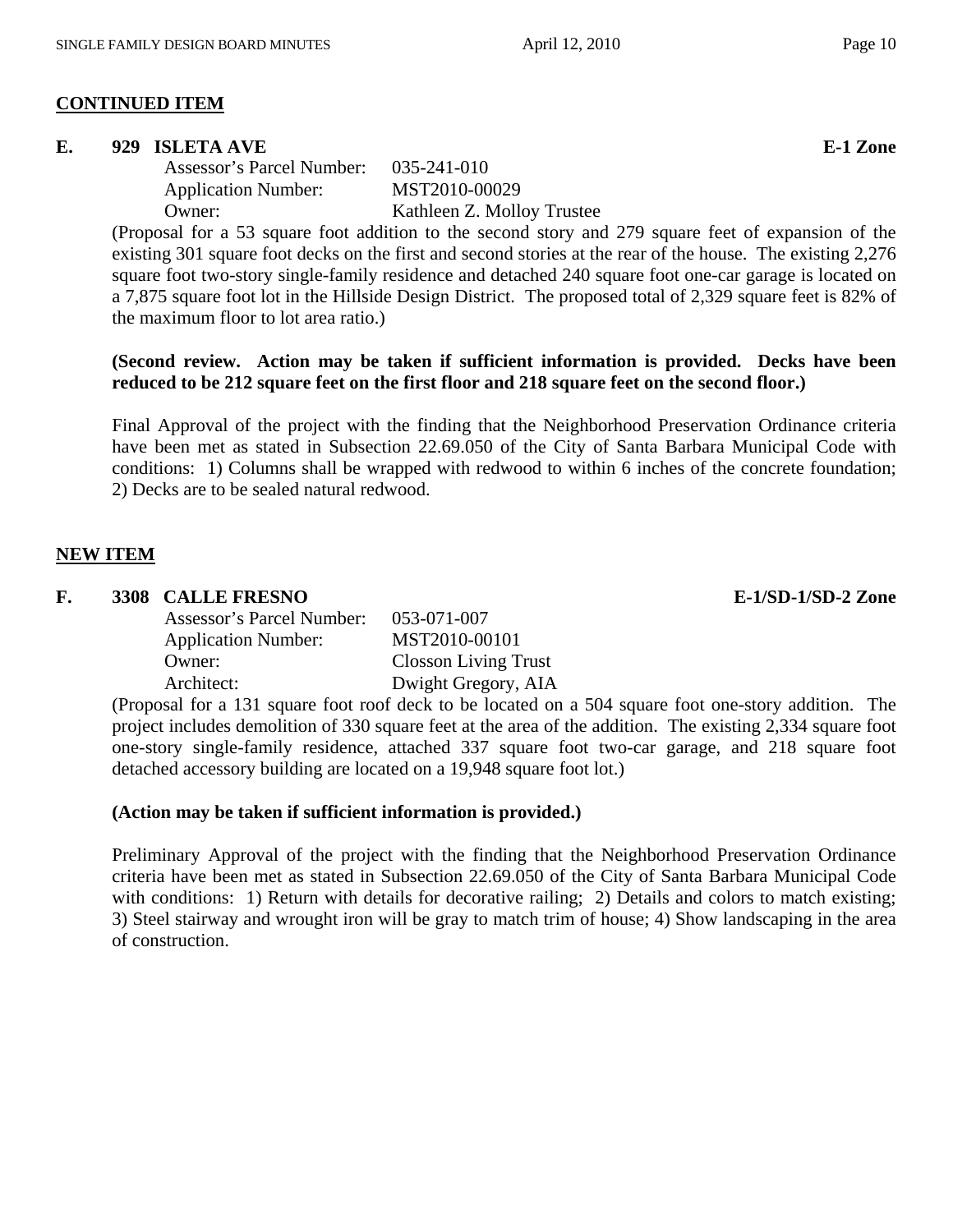#### **CONTINUED ITEM**

#### **E.** 929 ISLETA AVE **E-1** Zone

 Assessor's Parcel Number: 035-241-010 Application Number: MST2010-00029

Owner: Kathleen Z. Molloy Trustee

(Proposal for a 53 square foot addition to the second story and 279 square feet of expansion of the existing 301 square foot decks on the first and second stories at the rear of the house. The existing 2,276 square foot two-story single-family residence and detached 240 square foot one-car garage is located on a 7,875 square foot lot in the Hillside Design District. The proposed total of 2,329 square feet is 82% of the maximum floor to lot area ratio.)

#### **(Second review. Action may be taken if sufficient information is provided. Decks have been reduced to be 212 square feet on the first floor and 218 square feet on the second floor.)**

Final Approval of the project with the finding that the Neighborhood Preservation Ordinance criteria have been met as stated in Subsection 22.69.050 of the City of Santa Barbara Municipal Code with conditions: 1) Columns shall be wrapped with redwood to within 6 inches of the concrete foundation; 2) Decks are to be sealed natural redwood.

#### **NEW ITEM**

#### **F. 3308 CALLE FRESNO E-1/SD-1/SD-2 Zone**

| Assessor's Parcel Number:  | 053-071-007                 |
|----------------------------|-----------------------------|
| <b>Application Number:</b> | MST2010-00101               |
| Owner:                     | <b>Closson Living Trust</b> |
| Architect:                 | Dwight Gregory, AIA         |

(Proposal for a 131 square foot roof deck to be located on a 504 square foot one-story addition. The project includes demolition of 330 square feet at the area of the addition. The existing 2,334 square foot one-story single-family residence, attached 337 square foot two-car garage, and 218 square foot detached accessory building are located on a 19,948 square foot lot.)

#### **(Action may be taken if sufficient information is provided.)**

Preliminary Approval of the project with the finding that the Neighborhood Preservation Ordinance criteria have been met as stated in Subsection 22.69.050 of the City of Santa Barbara Municipal Code with conditions: 1) Return with details for decorative railing; 2) Details and colors to match existing; 3) Steel stairway and wrought iron will be gray to match trim of house; 4) Show landscaping in the area of construction.